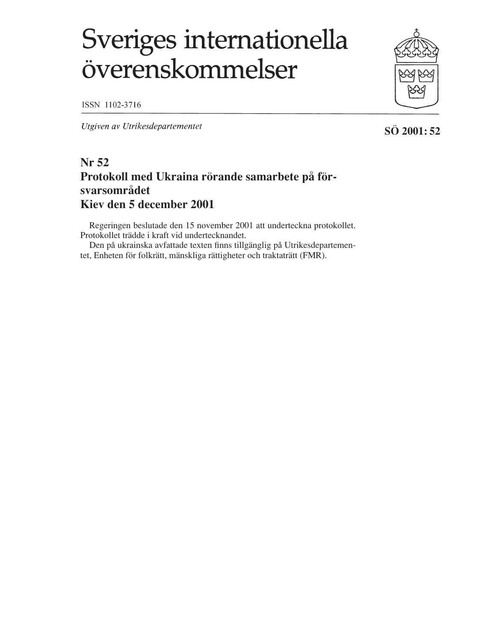# Sveriges internationella överenskommelser

ISSN 1102-3716

Utgiven av Utrikesdepartementet

## **Nr 52 Protokoll med Ukraina rörande samarbete på försvarsområdet Kiev den 5 december 2001**

Regeringen beslutade den 15 november 2001 att underteckna protokollet. Protokollet trädde i kraft vid undertecknandet.

Den på ukrainska avfattade texten finns tillgänglig på Utrikesdepartementet, Enheten för folkrätt, mänskliga rättigheter och traktaträtt (FMR).

**SÖ 2001: 52**

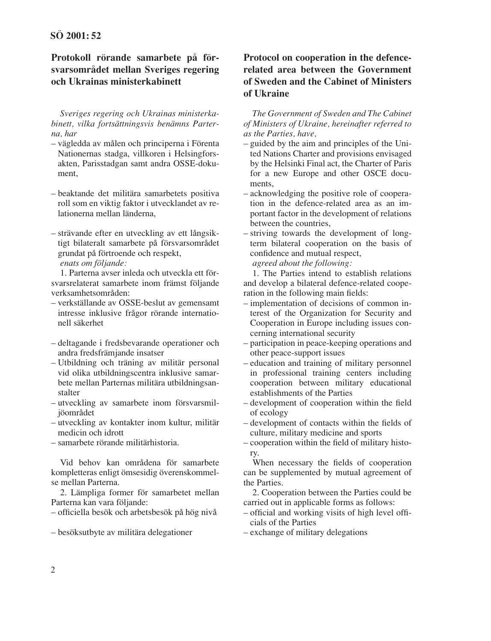### **Protokoll rörande samarbete på försvarsområdet mellan Sveriges regering och Ukrainas ministerkabinett**

*Sveriges regering och Ukrainas ministerkabinett, vilka fortsättningsvis benämns Parterna, har*

- vägledda av målen och principerna i Förenta Nationernas stadga, villkoren i Helsingforsakten, Parisstadgan samt andra OSSE-dokument,
- beaktande det militära samarbetets positiva roll som en viktig faktor i utvecklandet av relationerna mellan länderna,
- strävande efter en utveckling av ett långsiktigt bilateralt samarbete på försvarsområdet grundat på förtroende och respekt, *enats om följande:*

1. Parterna avser inleda och utveckla ett försvarsrelaterat samarbete inom främst följande verksamhetsområden:

- verkställande av OSSE-beslut av gemensamt intresse inklusive frågor rörande internationell säkerhet
- deltagande i fredsbevarande operationer och andra fredsfrämjande insatser
- Utbildning och träning av militär personal vid olika utbildningscentra inklusive samarbete mellan Parternas militära utbildningsanstalter
- utveckling av samarbete inom försvarsmiljöområdet
- utveckling av kontakter inom kultur, militär medicin och idrott
- samarbete rörande militärhistoria.

Vid behov kan områdena för samarbete kompletteras enligt ömsesidig överenskommelse mellan Parterna.

2. Lämpliga former för samarbetet mellan Parterna kan vara följande:

– officiella besök och arbetsbesök på hög nivå

– besöksutbyte av militära delegationer

### **Protocol on cooperation in the defencerelated area between the Government of Sweden and the Cabinet of Ministers of Ukraine**

*The Government of Sweden and The Cabinet of Ministers of Ukraine, hereinafter referred to as the Parties, have,*

- guided by the aim and principles of the United Nations Charter and provisions envisaged by the Helsinki Final act, the Charter of Paris for a new Europe and other OSCE documents,
- acknowledging the positive role of cooperation in the defence-related area as an important factor in the development of relations between the countries,
- striving towards the development of longterm bilateral cooperation on the basis of confidence and mutual respect,

*agreed about the following:*

1. The Parties intend to establish relations and develop a bilateral defence-related cooperation in the following main fields:

- implementation of decisions of common interest of the Organization for Security and Cooperation in Europe including issues concerning international security
- participation in peace-keeping operations and other peace-support issues
- education and training of military personnel in professional training centers including cooperation between military educational establishments of the Parties
- development of cooperation within the field of ecology
- development of contacts within the fields of culture, military medicine and sports
- cooperation within the field of military history.

When necessary the fields of cooperation can be supplemented by mutual agreement of the Parties.

2. Cooperation between the Parties could be carried out in applicable forms as follows:

– official and working visits of high level officials of the Parties

– exchange of military delegations